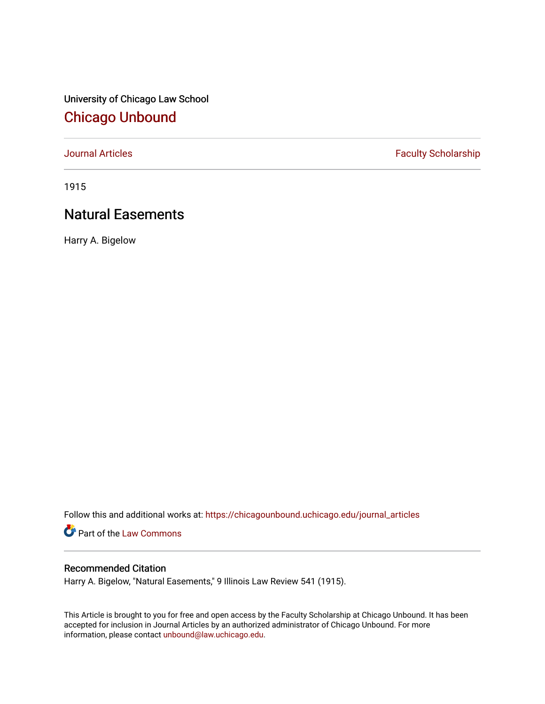University of Chicago Law School [Chicago Unbound](https://chicagounbound.uchicago.edu/)

[Journal Articles](https://chicagounbound.uchicago.edu/journal_articles) **Faculty Scholarship Faculty Scholarship** 

1915

# Natural Easements

Harry A. Bigelow

Follow this and additional works at: [https://chicagounbound.uchicago.edu/journal\\_articles](https://chicagounbound.uchicago.edu/journal_articles?utm_source=chicagounbound.uchicago.edu%2Fjournal_articles%2F7565&utm_medium=PDF&utm_campaign=PDFCoverPages) 

Part of the [Law Commons](http://network.bepress.com/hgg/discipline/578?utm_source=chicagounbound.uchicago.edu%2Fjournal_articles%2F7565&utm_medium=PDF&utm_campaign=PDFCoverPages)

## Recommended Citation

Harry A. Bigelow, "Natural Easements," 9 Illinois Law Review 541 (1915).

This Article is brought to you for free and open access by the Faculty Scholarship at Chicago Unbound. It has been accepted for inclusion in Journal Articles by an authorized administrator of Chicago Unbound. For more information, please contact [unbound@law.uchicago.edu](mailto:unbound@law.uchicago.edu).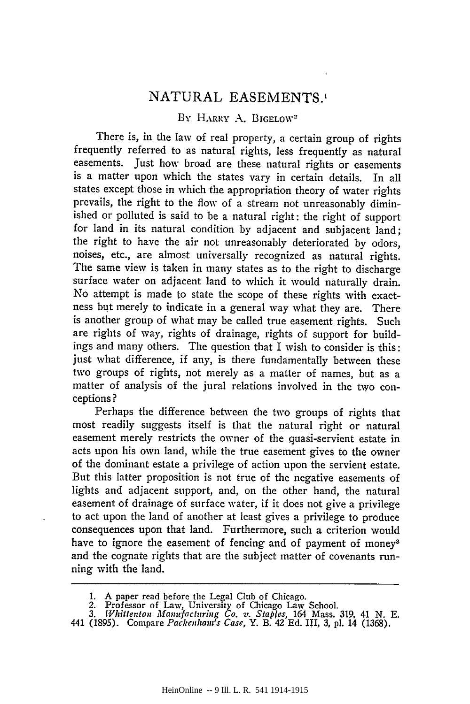## NATURAL EASEMENTS.'

### BY HARRY A. BIGELOW<sup>2</sup>

There is, in the law of real property, a certain group of rights frequently referred to as natural rights, less frequently as natural easements. Just how broad are these natural rights or easements is a matter upon which the states vary in certain details. In all states except those in which the appropriation theory of water rights prevails, the right to the flow of a stream not unreasonably diminished or polluted is said to be a natural right: the right of support for land in its natural condition by adjacent and subjacent land; the right to have the air not unreasonably deteriorated by odors, noises, etc., are almost universally recognized as natural rights. The same view is taken in many states as to the right to discharge surface water on adjacent land to which it would naturally drain. No attempt is made to state the scope of these rights with exactness but merely to indicate in a general way what they are. There is another group of what may be called true easement rights. Such are rights of way, rights of drainage, rights of support for buildings and many others. The question that I wish to consider is this: just what difference, if any, is there fundamentally between these two groups of rights, not merely as a matter of names, but as a matter of analysis of the jural relations involved in the two conceptions?

Perhaps the difference between the two groups of rights that most readily suggests itself is that the natural right or natural easement merely restricts the owner of the quasi-servient estate in acts upon his own land, while the true easement gives to the owner of the dominant estate a privilege of action upon the servient estate. But this latter proposition is not true of the negative easements of lights and adjacent support, and, on the other hand, the natural easement of drainage of surface water, if it does not give a privilege to act upon the land of another at least gives a privilege to produce consequences upon that land. Furthermore, such a criterion would have to ignore the easement of fencing and of payment of money<sup>3</sup> and the cognate rights that are the subject matter of covenants running with the land.

1. A paper read before the Legal Club of Chicago. *2.* Professor of Law, University of Chicago Law School.

*<sup>3.</sup> JVhittenton Manufacturing Co. v. Staples,* 164 Mass. 319, 41 **N. E.** 441 (1895). Compare *Packenham's Case,* Y. B. 42 Ed. III, 3, **pl.** 14 (1368).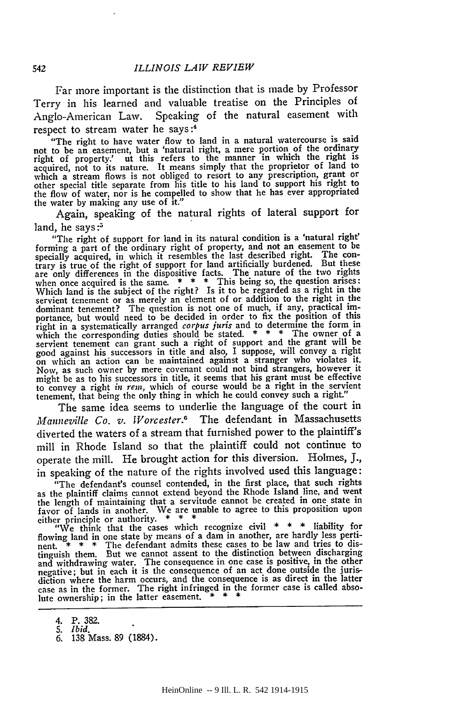Far more important is the distinction that is made by Professor Terry in his learned and valuable treatise on the Principles of Anglo-American Law. Speaking of the natural easement with respect to stream water he says :4

"The right to have water flow to land in a natural watercourse is said not to be an easement, but a 'natural right, a mere portion of the ordinary right of property.' ut this refers to the manner in which the right is acquired, not to its nature. It means simply that the proprietor of land to which a stream flows is not obliged to resort to any prescription, grant or other special title separate from his title to his land to support his right to the flow of water, nor is he compelled to show that he has ever appropriated the water by making any use of it.'

Again, speaking of the natural rights of lateral support for land, he says: $5$ 

"The right of support for land in its natural condition is a 'natural right' forming a part of the ordinary right of property, and not an easement to be specially acquired, in which it resembles the last described right. The contrary is true of the right of support for land artificially burdened. But these are only differences in the dispositive facts. The nature of the two rights when once acquired is the same. \* \* \* This being so, the question arises:<br>Which land is the subject of the right? Is it to be regarded as a right in the<br>servient tenement or as merely an element of or addition to the right dominant tenement? The question is not one of much, if any, practical importance, but would need to be decided in order to fix the position of this right in a systematically arranged *corpus juris* and to determine the form in which the corresponding duties should be stated. **\*** \* \* The owner of a servient tenement can grant such a right of support and the grant will be good against his successors in title and also, I suppose, will convey a right on which an action can be maintained against a stranger who violates it. Now, as such owner **by** mere covenant could not bind strangers, however it might be as to his successors in title, it seems that his grant must be effective to convey a right *in rem*, which of course would be a right in the servient tenement, that being the only thing in which he could convey such a right."

The same idea seems to underlie the language of the court in *J'fanneville Co. v. Worcester.6* The defendant in Massachusetts diverted the waters of a stream that furnished power to the plaintiff's mill in Rhode Island so that the plaintiff could not continue to operate the mill. He brought action for this diversion. Holmes, **J.,** in speaking of the nature of the rights involved used this language:

"The defendant's counsel contended, in the first place, that such rights as the plaintiff claims cannot extend beyond the Rhode Island line, and went the length of maintaining that a servitude cannot **be** created in one state in favor of lands in another. We are unable to agree to this proposition upon either principle or authority. **\*** \* \*

"We think that the cases which recognize civil **\* \* \*** liability for flowing land in one state **by** means of a dam in another, are hardly less pertinent. **\* \* \*** The defendant admits these cases to be law and tries to distinguish them. But we cannot assent to the distinction between discharging<br>and withdrawing water. The consequence in one case is positive, in the other<br>negative; but in each it is the consequence of an act done outside the case as in the former. The right infringed in the former case is called absolute ownership; in the latter easement.

<sup>4.</sup> P. **382.** *5. Ibid.*

**<sup>6. 138</sup>** Mass. **89** (1884).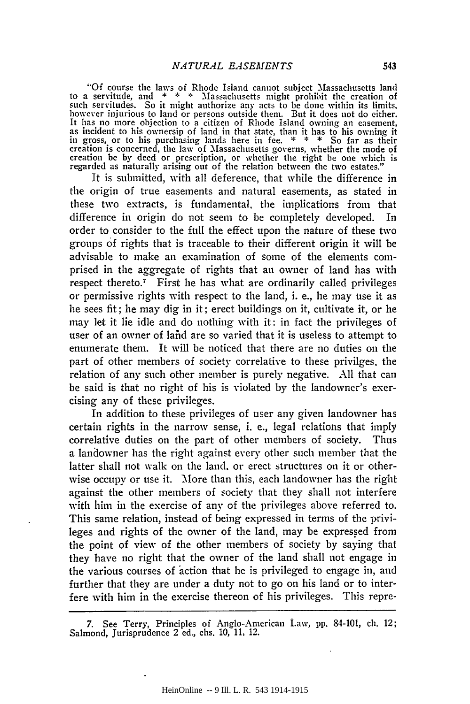"Of course the laws of Rhode Island cannot subject Massachusetts land to a servitude, and \* \* \* Massachusetts might prohibit the creation of such servitudes. So it might authorize any acts to be done within its limits, however injurious to land or persons outside them. But it does not do eit It has no more objection to a citizen of Rhode Island owning an easement, as incident **to** his ownersip of land in that state, than it has to his owning it in gross, or to his purchasing lands here in fee. \* \* \* So far as their creation is concerned, the law of Massachusetts governs, whether the mode of creation be by deed or prescription, or whether the right be one which is regarded as naturally arising out of the relation between the two estates."

It is submitted, with all deference, that while the difference in the origin of true easements and natural easements, as stated in these two extracts, is fundamental, the implications from that difference in origin do not seem to be completely developed. In order to consider to the full the effect upon the nature of these two groups of rights that is traceable to their different origin it will be advisable to make an examination of some of the elements comprised in the aggregate of rights that an owner of land has with respect thereto.<sup>7</sup> First he has what are ordinarily called privileges or permissive rights with respect to the land, i. e., lie may use it as lie sees fit; lie may dig in it; erect buildings on it, cultivate it, or he may let it lie idle and do nothing with it: in fact the privileges of user of an owner of lahd are so varied that it is useless to attempt to enumerate them. It will be noticed that there are no duties on the part of other members of society correlative to these privilges, the relation of any such other member is purely negative. **All** that can be said is that no right of his is violated by the landowner's exercising any of these privileges.

In addition to these privileges of user any given landowner has certain rights in the narrow sense, i. e., legal relations that imply correlative duties on the part of other members of society. Thus a landowner has the right against every other such member that the latter shall not walk on the land. or erect structures on it or otherwise occupy or use it. More than this, each landowner has the right against the other members of society that they shall not interfere with him in the exercise of any of the privileges above referred to. This same relation, instead of being expressed in terms of the privileges and rights of the owner of the land, may be expressed from the point of view of the other members of society by saying that they have no right that the owner of the land shall not engage in the various courses of action that he is privileged to engage in, and further that they are under a duty not to go on his land or to interfere with him in the exercise thereon of his privileges. This repre-

**<sup>7.</sup>** See Terry, Principles of Anglo-American Law, pp. 84-101, ch. 12; Salmond, Jurisprudence 2 ed., chs. **10, 11,** 12.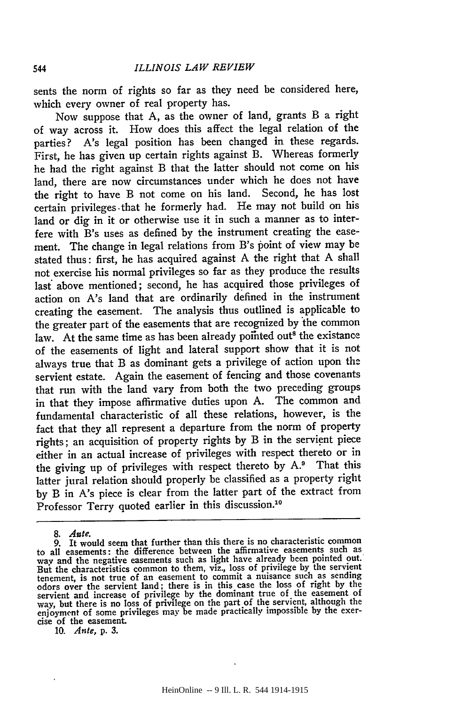sents the norm of rights so far as they need be considered here, which every owner of real property has.

Now suppose that A, as the owner of land, grants B a right of way across it. How does this affect the legal relation of the parties? A's legal position has been changed in these regards. First, he has given up certain rights against B. Whereas formerly he had the right against B that the latter should not come on his land, there are now circumstances under which he does not have the right to have B not come on his land. Second, he has lost certain privileges, that he formerly had. He may not build on his land or dig in it or otherwise use it in such a manner as to interfere with B's uses as defined by the instrument creating the easement. The change in legal relations from B's point of view may be stated thus: first, he has acquired against A the right that A shall not exercise his normal privileges so far as they produce the results last above mentioned; second, he has acquired those privileges of action on A's land that are ordinarily defined in the instrument creating the easement. The analysis thus outlined is applicable to the greater part of the easements that are recognized by the common law. At the same time as has been already pointed out<sup>8</sup> the existance of the easements of light and lateral support show that it is not always true that B as dominant gets a privilege of action upon the servient estate. Again the easement of fencing and those covenants that run with the land vary from both the two preceding groups in that they impose affirmative duties upon A. The common and fundamental characteristic of all these relations, however, is the fact that they all represent a departure from the norm of property rights; an acquisition of property rights by B in the servient piece either in an actual increase of privileges with respect thereto or in the giving up of privileges with respect thereto by A.<sup>9</sup> That this latter jural relation should properly be classified as a property right by B in A's piece is clear from the latter part of the extract from Professor Terry quoted earlier in this discussion.<sup>10</sup>

**10.** *Ante,* **p. 3.**

544

*<sup>8.</sup> Alte.*

<sup>9.</sup> It would seem that further than this there is no characteristic common to all easements: the difference between the affirmative easements such as way and the negative easements such as light have already been pointed out. What the characteristics common to them, viz., loss of privilege by the servient<br>tenement, is not true of an easement to commit a nuisance such as sending<br>odors over the servient land; there is in this case the loss of rig cise of the easement.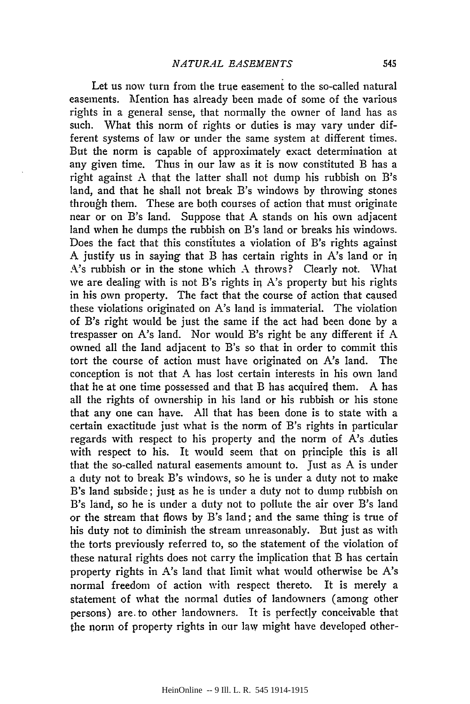Let us now turn from the true easement to the so-called natural easements. Mention has already been made of some of the various rights in a general sense, that normally the owner of land has as such. What this norm of rights or duties is may vary under different systems of law or under the same system at different times. But the norm is capable of approximately exact determination at any given time. Thus in our law as it is now constituted B has a right against A that the latter shall not dump his rubbish on B's land, and that he shall not break B's windows by throwing stones through them. These are both courses of action that must originate near or on B's land. Suppose that A stands on his own adjacent land when he dumps the rubbish on B's land or breaks his windows. Does the fact that this constitutes a violation of B's rights against A justify us in saying that B has certain rights in A's land or in A's rubbish or in the stone which A throws? Clearly not. What we are dealing with is not B's rights in A's property but his rights in his own property. The fact that the course of action that caused these violations originated on A's land is immaterial. The violation of B's right would be just the same if the act had been done by a trespasser on A's land. Nor would B's right be any different if A owned all the land adjacent to B's so that in order to commit this tort the course of action must have originated on A's land. The conception is not that A has lost certain interests in his own land that he at one time possessed and that B has acquired them. A has all the rights of ownership in his land or his rubbish or his stone that any one can have. All that has been done is to state with a certain exactitude just what is the norm of B's rights in particular regards with respect to his property and the norm of A's duties with respect to his. It would seem that on principle this is all that the so-called natural easements amount to. Just as A is under a duty not to break B's windows, so he is under a duty not to make B's land subside; just as he is under a duty not to dump rubbish on B's land, so he is under a duty not to pollute the air over B's land or the stream that flows by B's land; and the same thing is true of his duty not to diminish the stream unreasonably. But just as with the torts previously referred to, so the statement of the violation of these natural rights does not carry the implication that B has certain property rights in A's land that limit what would otherwise be A's normal freedom of action with respect thereto. It is merely a statement of what the normal duties of landowners (among other persons) are. to other landowners. It is perfectly conceivable that the norn of property rights in our law might have developed other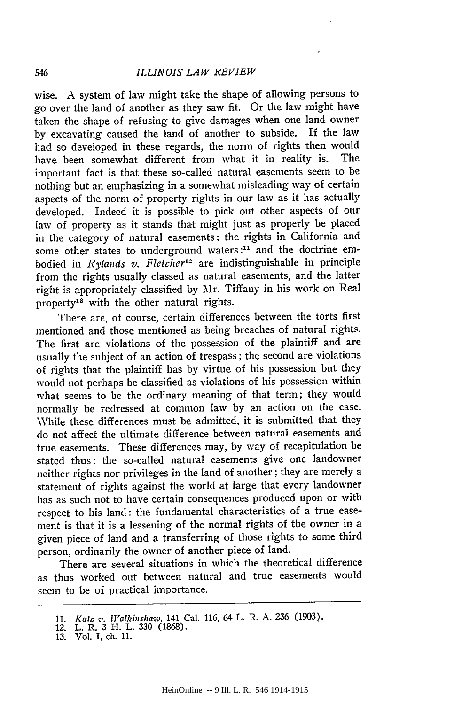wise. A system of law might take the shape of allowing persons to go over the land of another as they saw fit. Or the law might have taken the shape of refusing to give damages when one land owner by excavating caused the land of another to subside. If the law had so developed in these regards, the norm of rights then would have been somewhat different from what it in reality is. The important fact is that these so-called natural easements seem to be nothing but an emphasizing in a somewhat misleading way of certain aspects of the norm of property rights in our law as it has actually developed. Indeed it is possible to pick out other aspects of our law of property as it stands that might just as properly be placed in the category of natural easements: the rights in California and some other states to underground waters **:11** and the doctrine embodied in *Rylands v. Fletcher12* are indistinguishable in principle from the rights usually classed as natural easements, and the latter right is appropriately classified by Mr. Tiffany in his work on Real property<sup>13</sup> with the other natural rights.

There are, of course, certain differences between the torts first mentioned and those mentioned as being breaches of natural rights. The first are violations of the possession of the plaintiff and are usually the subject of an action of trespass; the second are violations of rights that the plaintiff has by virtue of his possession but they would not perhaps be classified as violations of his possession within what seems to be the ordinary meaning of that term; they would normally be redressed at common law by an action on the case. While these differences must be admitted, it is submitted that they do not affect the ultimate difference between natural easements and true easements. These differences may, by way of recapitulation be stated thus: the so-called natural easements give one landowner neither rights nor privileges in the land of another; they are merely a statement of rights against the world at large that every landowner has as such not to have certain consequences produced upon or with respect to his land: the fundamental characteristics of a true easement is that it is a lessening of the normal rights of the owner in a given piece of land and a transferring of those rights to some third person, ordinarily the owner of another piece of land.

There are several situations in which the theoretical difference as thus worked out between natural and true easements would seem to be of practical importance.

<sup>11.</sup> *Katz v. [Valkhishaw.* 141 Cal. 116, 64 L. R. A. 236 (1903). 12. L. R. 3 H. L. 330 (1868).

<sup>13.</sup> Vol. **1,** ch. 11.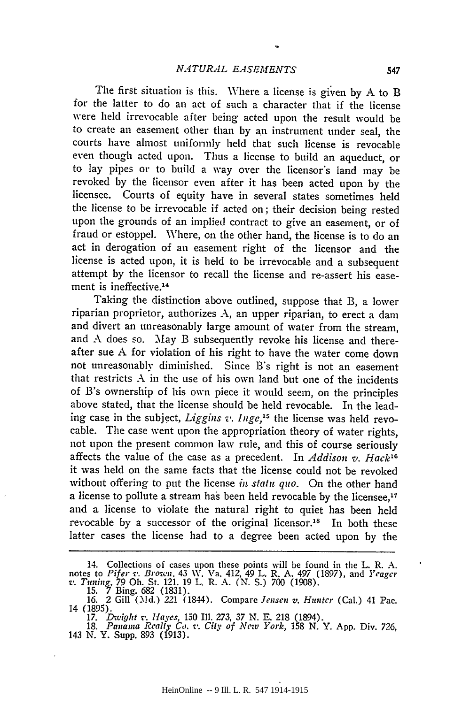The first situation is this. Where a license is given **by A** to B for the latter to do an act of such a character that if the license were held irrevocable after being acted upon the result would be to create an easement other than by an instrument under seal, the courts have almost uniformly held that such license is revocable even though acted upon. Thus a license to build an aqueduct, or to lay pipes or to build a way over the licensor's land may be revoked by the licensor even after it has been acted upon by the licensee. Courts of equity have in several states sometimes held the license to be irrevocable if acted on; their decision being rested upon the grounds of an implied contract to give an easement, or of fraud or estoppel. Where, on the other hand, the license is to do an act in derogation of an easement right of the licensor and the license is acted upon, it is held to be irrevocable and a subsequent attempt by the licensor to recall the license and re-assert his easement is ineffective. <sup>14</sup>

Taking the distinction above outlined, suppose that B, a lower riparian proprietor, authorizes A, an upper riparian, to erect a dam and divert an unreasonably large amount of water from the stream, and A does so. May B subsequently revoke his license and thereafter sue **A** for violation of his right to have the water come down not unreasonably diminished. Since B's right is not an easement that restricts A in the use of his own land but one of the incidents of B's ownership of his own piece it would seem, on the principles above stated, that the license should be held revocable. In the leading case in the subject, *Liggins v. Inge,"* the license was held revocable. The case went upon the appropriation theory of water rights, not upon the present common law rule, and this of course seriously affects the value of the case as a precedent. In *Addison v. Hack",* it was held on the same facts that the license could not be revoked without offering to put the license *in statu quo.* On the other hand a license to pollute a stream has been held revocable by the licensee,<sup>17</sup> and a license to violate the natural right to quiet has been held revocable by a successor of the original licensor.<sup>18</sup> In both these latter cases the license had to a degree been acted upon by the

<sup>14.</sup> Collections of cases upon these points will be found in the L. R. **A.** notes to *Pifer v. Brown.* 43 W. Va. 412, 49 L. R. A. *497* (1897), and *Yeagcr v. Tuning, 79* Oh. St. 121. 19 L. R. A. (N. S.) 700 (1908).<br>15. 7 Bing. 682 (1831).

*<sup>16.</sup>* 2 Gill ("!d.) *221* (1844). Compare *Jensen v. Hunter* (Cal.) 41 Pac. 14 (1895).

*<sup>17.</sup> Dwight s,. Hayes,* 150 Ill. 273, *37* N. E. 218 (1894). 18. *Panama Realty Co. v. City of New York,* 158 **N.** Y. **App.** Div. 726, 143 N. Y. Supp. 893 (1913).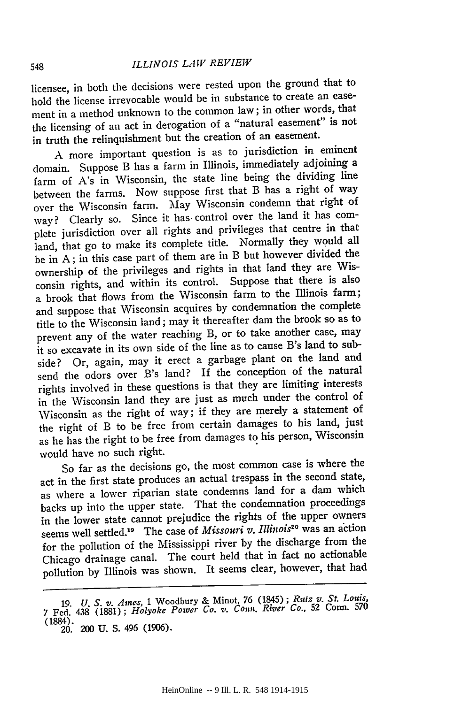#### <sup>548</sup>*ILLINOIS LA V REVIEW*

licensee, in both the decisions were rested upon the ground that to hold the license irrevocable would be in substance to create an easement in a method unknown to the common law; in other words, that the licensing of an act in derogation of a "natural easement" is not in truth the relinquishment but the creation of an easement.

**<sup>A</sup>**more important question is as to jurisdiction in eminent domain. Suppose B has a farm in Illinois, immediately adjoining a farm of A's in Wisconsin, the state line being the dividing line between the farms. Now suppose first that B has a right of way over the Wisconsin farm. May Wisconsin condemn that right of way? Clearly so. Since it has control over the land it has complete jurisdiction over all rights and privileges that centre in that land, that go to make its complete title. Normally they would all be in A; in this case part of them are in B but however divided the ownership of the privileges and rights in that land they are Wisconsin rights, and within its control. Suppose that there is also a brook that flows from the Wisconsin farm to the Illinois farm; and suppose that Wisconsin acquires by condemnation the complete title to the Wisconsin land; may it thereafter dam the brook so as to prevent any of the water reaching B, or to take another case, may it so excavate in its own side of the line as to cause B's land to subside? Or, again, may it erect a garbage plant on the land and send the odors over B's land? If the conception of the natural rights involved in these questions is that they are limiting interests in the Wisconsin land they are just as much under the control of Wisconsin as the right of way; if they are merely a statement of the right of B to be free from certain damages to his land, just as he has the right to be free from damages to his person, Wisconsin would have no such right.

So far as the decisions go, the most common case is where the act in the first state produces an actual trespass in the second state, as where a lower riparian state condemns land for a dam which backs up into the upper state. That the condemnation proceedings in the lower state cannot prejudice the rights of the upper owners seems well settled.19 The case of *Missouri v. Illinois20* was an action for the pollution of the Mississippi river by the discharge from the Chicago drainage canal. The court held that in fact no actionable pollution by Illinois was shown. It seems clear, however, that had

**<sup>19.</sup>** *U. S. v. Aine.s,* 1 Woodbury & Minot, **76** (1845); *Rutz v. St. Louis,* 7 Fed. 438 (1881); *Holyoke Power Co. v. Cona. River Co.,* 52 Conn. **<sup>570</sup>** (1884). 20. 200 **U. S.** 496 **(1906).**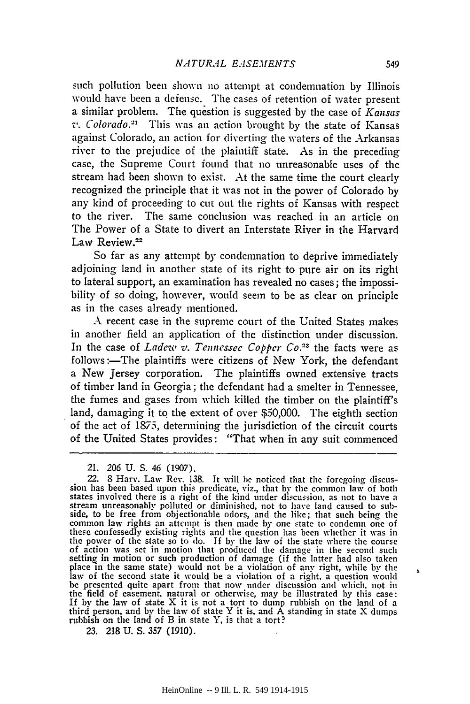such pollution been shown no attempt at condemnation **by** Illinois would have been a defense. The cases of retention of water present a similar problem. The question is suggested by the case of *Kansas v. Colorado.- '2* This was an action brought by the state of Kansas against Colorado, an action for diverting the waters of the Arkansas river to the prejudice of the plaintiff state. As in the preceding case, the Supreme Court found that no unreasonable uses of the stream had been shown to exist. At the same time the court clearly recognized the principle that it was not in the power of Colorado by any kind of proceeding to cut out the rights of Kansas with respect to the river. The same conclusion was reached in an article on The Power of a State to divert an Interstate River in the Harvard Law Review.<sup>22</sup>

So far as any attempt by condemnation to deprive immediately adjoining land in another state of its right to pure air on its right to lateral support, an examination has revealed no cases; the impossibility of so doing, however, would seem to be as clear on principle as in the cases already mentioned.

A recent case in the supreme court of the United States makes in another field an application of the distinction under discussion. In the case of *Ladew v. Tennessee Copper Co.*<sup>23</sup> the facts were as follows:—The plaintiffs were citizens of New York, the defendant a New Jersey corporation. The plaintiffs owned extensive tracts of timber land in Georgia; the defendant had a smelter in Tennessee, the fumes and gases from which killed the timber on the plaintiff's land, damaging it to the extent of over \$50,000. The eighth section of the act of 1875, determining the jurisdiction of the circuit courts of the United States provides: "That when in any suit commenced

21. 206 U. S. 46 (1907).

22. **8** Harv. Law Rev. 138. It will **be** noticed that the foregoing discussion has been based upon this predicate, viz., that by the common law of both<br>states involved there is a right of the kind under discussion, as not to have a<br>stream unreasonably polluted or diminished, not to have land cau side, to be free from objectionable odors, and the like; that such being the<br>common law rights an attempt is then made by one state to condemn one of<br>these confessedly existing rights and the question has been whether it w the power of the state so to do. If by the law of the state where the course<br>of action was set in motion that produced the damage in the second such setting in motion or such production of damage (if the latter had also taken place in the same state) would not be a violation of any right, while by the law of the second state it would be a violation of a right, a question would be presented quite apart from that now under discussion and which, not in the field of easement, natural or otherwise, may be illustrated by this case:<br>If by the law of state X it is not a tort to dump rubbish on the land of a<br>third person, and by the law of state Y it is, and A standing in stat

23. 218 U. S. 357 (1910).